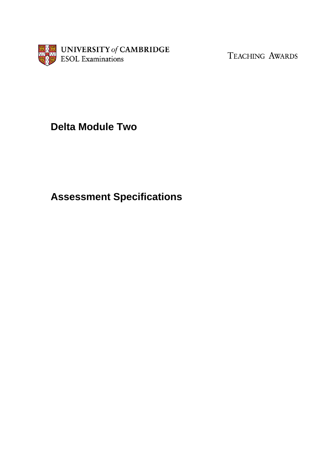

TEACHING AWARDS

# **Delta Module Two**

# **Assessment Specifications**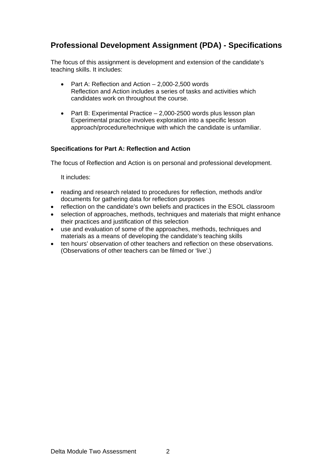# **Professional Development Assignment (PDA) - Specifications**

The focus of this assignment is development and extension of the candidate's teaching skills. It includes:

- Part A: Reflection and Action 2,000-2,500 words Reflection and Action includes a series of tasks and activities which candidates work on throughout the course.
- Part B: Experimental Practice 2,000-2500 words plus lesson plan Experimental practice involves exploration into a specific lesson approach/procedure/technique with which the candidate is unfamiliar.

#### **Specifications for Part A: Reflection and Action**

The focus of Reflection and Action is on personal and professional development.

It includes:

- reading and research related to procedures for reflection, methods and/or documents for gathering data for reflection purposes
- reflection on the candidate's own beliefs and practices in the ESOL classroom
- selection of approaches, methods, techniques and materials that might enhance their practices and justification of this selection
- use and evaluation of some of the approaches, methods, techniques and materials as a means of developing the candidate's teaching skills
- ten hours' observation of other teachers and reflection on these observations. (Observations of other teachers can be filmed or 'live'.)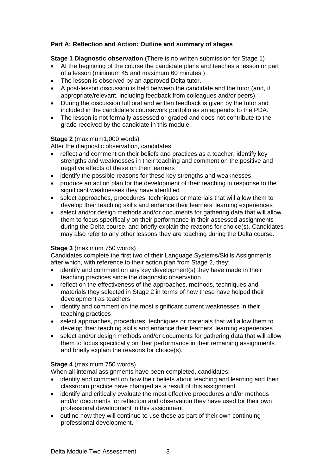## **Part A: Reflection and Action: Outline and summary of stages**

#### **Stage 1 Diagnostic observation** (There is no written submission for Stage 1)

- At the beginning of the course the candidate plans and teaches a lesson or part of a lesson (minimum 45 and maximum 60 minutes.)
- The lesson is observed by an approved Delta tutor.
- A post-lesson discussion is held between the candidate and the tutor (and, if appropriate/relevant, including feedback from colleagues and/or peers).
- During the discussion full oral and written feedback is given by the tutor and included in the candidate's coursework portfolio as an appendix to the PDA.
- The lesson is not formally assessed or graded and does not contribute to the grade received by the candidate in this module.

#### **Stage 2** (maximum1,000 words)

After the diagnostic observation, candidates:

- reflect and comment on their beliefs and practices as a teacher, identify key strengths and weaknesses in their teaching and comment on the positive and negative effects of these on their learners
- identify the possible reasons for these key strengths and weaknesses
- produce an action plan for the development of their teaching in response to the significant weaknesses they have identified
- select approaches, procedures, techniques or materials that will allow them to develop their teaching skills and enhance their learners' learning experiences
- select and/or design methods and/or documents for gathering data that will allow them to focus specifically on their performance in their assessed assignments during the Delta course. and briefly explain the reasons for choice(s). Candidates may also refer to any other lessons they are teaching during the Delta course.

#### **Stage 3** (maximum 750 words)

Candidates complete the first two of their Language Systems/Skills Assignments after which, with reference to their action plan from Stage 2, they:

- identify and comment on any key development(s) they have made in their teaching practices since the diagnostic observation
- reflect on the effectiveness of the approaches, methods, techniques and materials they selected in Stage 2 in terms of how these have helped their development as teachers
- identify and comment on the most significant current weaknesses in their teaching practices
- select approaches, procedures, techniques or materials that will allow them to develop their teaching skills and enhance their learners' learning experiences
- select and/or design methods and/or documents for gathering data that will allow them to focus specifically on their performance in their remaining assignments and briefly explain the reasons for choice(s).

#### **Stage 4** (maximum 750 words)

When all internal assignments have been completed, candidates:

- identify and comment on how their beliefs about teaching and learning and their classroom practice have changed as a result of this assignment
- identify and critically evaluate the most effective procedures and/or methods and/or documents for reflection and observation they have used for their own professional development in this assignment
- outline how they will continue to use these as part of their own continuing professional development.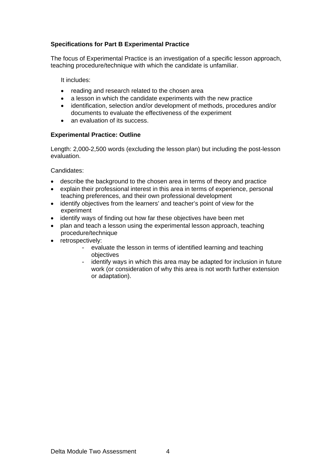## **Specifications for Part B Experimental Practice**

The focus of Experimental Practice is an investigation of a specific lesson approach, teaching procedure/technique with which the candidate is unfamiliar.

It includes:

- reading and research related to the chosen area
- a lesson in which the candidate experiments with the new practice
- identification, selection and/or development of methods, procedures and/or documents to evaluate the effectiveness of the experiment
- an evaluation of its success.

#### **Experimental Practice: Outline**

Length: 2,000-2,500 words (excluding the lesson plan) but including the post-lesson evaluation.

Candidates:

- describe the background to the chosen area in terms of theory and practice
- explain their professional interest in this area in terms of experience, personal teaching preferences, and their own professional development
- identify objectives from the learners' and teacher's point of view for the experiment
- identify ways of finding out how far these objectives have been met
- plan and teach a lesson using the experimental lesson approach, teaching procedure/technique
- retrospectively:
	- evaluate the lesson in terms of identified learning and teaching objectives
	- identify ways in which this area may be adapted for inclusion in future work (or consideration of why this area is not worth further extension or adaptation).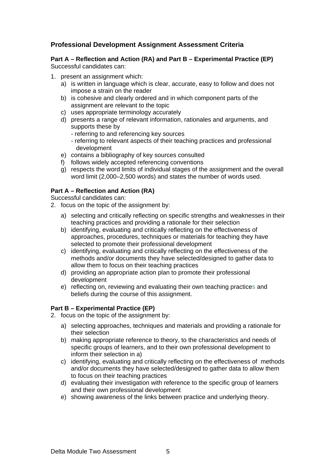# **Professional Development Assignment Assessment Criteria**

#### **Part A – Reflection and Action (RA) and Part B – Experimental Practice (EP)**  Successful candidates can:

- 1. present an assignment which:
	- a) is written in language which is clear, accurate, easy to follow and does not impose a strain on the reader
	- b) is cohesive and clearly ordered and in which component parts of the assignment are relevant to the topic
	- c) uses appropriate terminology accurately
	- d) presents a range of relevant information, rationales and arguments, and supports these by
		- referring to and referencing key sources
		- referring to relevant aspects of their teaching practices and professional development
	- e) contains a bibliography of key sources consulted
	- f) follows widely accepted referencing conventions
	- g) respects the word limits of individual stages of the assignment and the overall word limit (2,000–2,500 words) and states the number of words used.

#### **Part A – Reflection and Action (RA)**

Successful candidates can:

- 2. focus on the topic of the assignment by:
	- a) selecting and critically reflecting on specific strengths and weaknesses in their teaching practices and providing a rationale for their selection
	- b) identifying, evaluating and critically reflecting on the effectiveness of approaches, procedures, techniques or materials for teaching they have selected to promote their professional development
	- c) identifying, evaluating and critically reflecting on the effectiveness of the methods and/or documents they have selected/designed to gather data to allow them to focus on their teaching practices
	- d) providing an appropriate action plan to promote their professional development
	- e) reflecting on, reviewing and evaluating their own teaching practices and beliefs during the course of this assignment.

#### **Part B – Experimental Practice (EP)**

- 2. focus on the topic of the assignment by:
	- a) selecting approaches, techniques and materials and providing a rationale for their selection
	- b) making appropriate reference to theory, to the characteristics and needs of specific groups of learners, and to their own professional development to inform their selection in a)
	- c) identifying, evaluating and critically reflecting on the effectiveness of methods and/or documents they have selected/designed to gather data to allow them to focus on their teaching practices
	- d) evaluating their investigation with reference to the specific group of learners and their own professional development
	- e) showing awareness of the links between practice and underlying theory.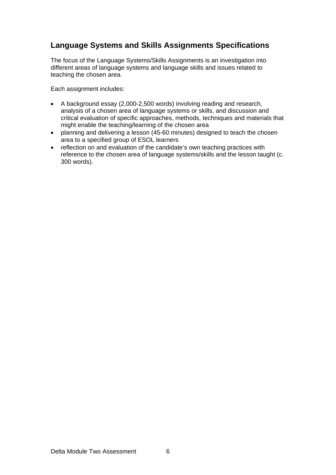# **Language Systems and Skills Assignments Specifications**

The focus of the Language Systems/Skills Assignments is an investigation into different areas of language systems and language skills and issues related to teaching the chosen area.

Each assignment includes:

- A background essay (2,000-2,500 words) involving reading and research, analysis of a chosen area of language systems or skills, and discussion and critical evaluation of specific approaches, methods, techniques and materials that might enable the teaching/learning of the chosen area
- planning and delivering a lesson (45-60 minutes) designed to teach the chosen area to a specified group of ESOL learners
- reflection on and evaluation of the candidate's own teaching practices with reference to the chosen area of language systems/skills and the lesson taught (c. 300 words).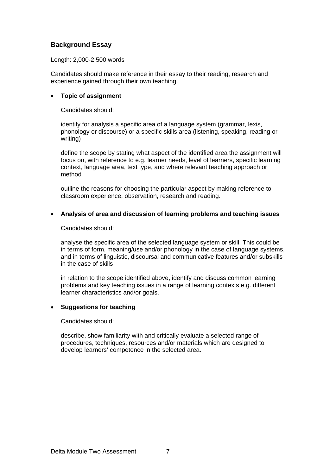## **Background Essay**

Length: 2,000-2,500 words

Candidates should make reference in their essay to their reading, research and experience gained through their own teaching.

#### • **Topic of assignment**

Candidates should:

identify for analysis a specific area of a language system (grammar, lexis, phonology or discourse) or a specific skills area (listening, speaking, reading or writing)

define the scope by stating what aspect of the identified area the assignment will focus on, with reference to e.g. learner needs, level of learners, specific learning context, language area, text type, and where relevant teaching approach or method

outline the reasons for choosing the particular aspect by making reference to classroom experience, observation, research and reading.

#### • **Analysis of area and discussion of learning problems and teaching issues**

Candidates should:

analyse the specific area of the selected language system or skill. This could be in terms of form, meaning/use and/or phonology in the case of language systems, and in terms of linguistic, discoursal and communicative features and/or subskills in the case of skills

in relation to the scope identified above, identify and discuss common learning problems and key teaching issues in a range of learning contexts e.g. different learner characteristics and/or goals.

#### • **Suggestions for teaching**

Candidates should:

describe, show familiarity with and critically evaluate a selected range of procedures, techniques, resources and/or materials which are designed to develop learners' competence in the selected area.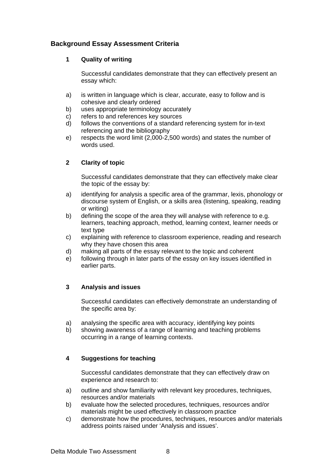# **Background Essay Assessment Criteria**

#### **1 Quality of writing**

Successful candidates demonstrate that they can effectively present an essay which:

- a) is written in language which is clear, accurate, easy to follow and is cohesive and clearly ordered
- b) uses appropriate terminology accurately
- c) refers to and references key sources
- d) follows the conventions of a standard referencing system for in-text referencing and the bibliography
- e) respects the word limit (2,000-2,500 words) and states the number of words used.

#### **2 Clarity of topic**

Successful candidates demonstrate that they can effectively make clear the topic of the essay by:

- a) identifying for analysis a specific area of the grammar, lexis, phonology or discourse system of English, or a skills area (listening, speaking, reading or writing)
- b) defining the scope of the area they will analyse with reference to e.g. learners, teaching approach, method, learning context, learner needs or text type
- c) explaining with reference to classroom experience, reading and research why they have chosen this area
- d) making all parts of the essay relevant to the topic and coherent
- e) following through in later parts of the essay on key issues identified in earlier parts.

#### **3 Analysis and issues**

Successful candidates can effectively demonstrate an understanding of the specific area by:

- a) analysing the specific area with accuracy, identifying key points
- b) showing awareness of a range of learning and teaching problems occurring in a range of learning contexts.

#### **4 Suggestions for teaching**

Successful candidates demonstrate that they can effectively draw on experience and research to:

- a) outline and show familiarity with relevant key procedures, techniques, resources and/or materials
- b) evaluate how the selected procedures, techniques, resources and/or materials might be used effectively in classroom practice
- c) demonstrate how the procedures, techniques, resources and/or materials address points raised under 'Analysis and issues'.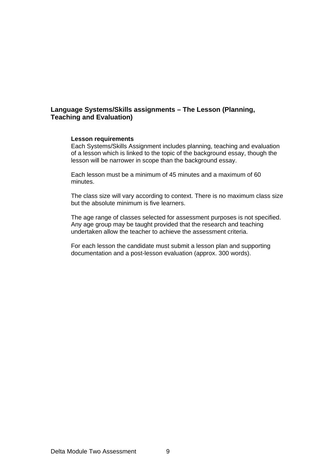## **Language Systems/Skills assignments – The Lesson (Planning, Teaching and Evaluation)**

#### **Lesson requirements**

Each Systems/Skills Assignment includes planning, teaching and evaluation of a lesson which is linked to the topic of the background essay, though the lesson will be narrower in scope than the background essay.

Each lesson must be a minimum of 45 minutes and a maximum of 60 minutes.

The class size will vary according to context. There is no maximum class size but the absolute minimum is five learners.

The age range of classes selected for assessment purposes is not specified. Any age group may be taught provided that the research and teaching undertaken allow the teacher to achieve the assessment criteria.

For each lesson the candidate must submit a lesson plan and supporting documentation and a post-lesson evaluation (approx. 300 words).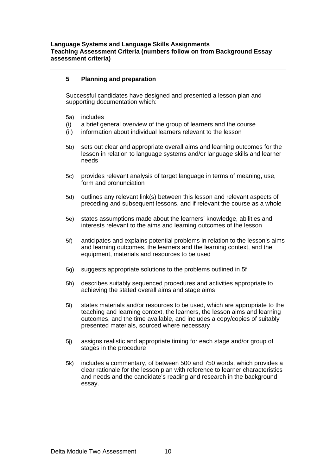#### **5 Planning and preparation**

Successful candidates have designed and presented a lesson plan and supporting documentation which:

- 5a) includes
- (i) a brief general overview of the group of learners and the course
- (ii) information about individual learners relevant to the lesson
- 5b) sets out clear and appropriate overall aims and learning outcomes for the lesson in relation to language systems and/or language skills and learner needs
- 5c) provides relevant analysis of target language in terms of meaning, use, form and pronunciation
- 5d) outlines any relevant link(s) between this lesson and relevant aspects of preceding and subsequent lessons, and if relevant the course as a whole
- 5e) states assumptions made about the learners' knowledge, abilities and interests relevant to the aims and learning outcomes of the lesson
- 5f) anticipates and explains potential problems in relation to the lesson's aims and learning outcomes, the learners and the learning context, and the equipment, materials and resources to be used
- 5g) suggests appropriate solutions to the problems outlined in 5f
- 5h) describes suitably sequenced procedures and activities appropriate to achieving the stated overall aims and stage aims
- 5i) states materials and/or resources to be used, which are appropriate to the teaching and learning context, the learners, the lesson aims and learning outcomes, and the time available, and includes a copy/copies of suitably presented materials, sourced where necessary
- 5j) assigns realistic and appropriate timing for each stage and/or group of stages in the procedure
- 5k) includes a commentary, of between 500 and 750 words, which provides a clear rationale for the lesson plan with reference to learner characteristics and needs and the candidate's reading and research in the background essay.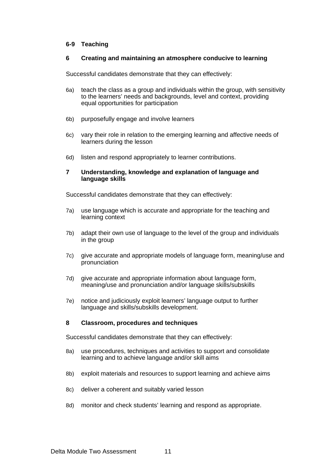#### **6-9 Teaching**

#### **6 Creating and maintaining an atmosphere conducive to learning**

Successful candidates demonstrate that they can effectively:

- 6a) teach the class as a group and individuals within the group, with sensitivity to the learners' needs and backgrounds, level and context, providing equal opportunities for participation
- 6b) purposefully engage and involve learners
- 6c) vary their role in relation to the emerging learning and affective needs of learners during the lesson
- 6d) listen and respond appropriately to learner contributions.

#### **7 Understanding, knowledge and explanation of language and language skills**

Successful candidates demonstrate that they can effectively:

- 7a) use language which is accurate and appropriate for the teaching and learning context
- 7b) adapt their own use of language to the level of the group and individuals in the group
- 7c) give accurate and appropriate models of language form, meaning/use and pronunciation
- 7d) give accurate and appropriate information about language form, meaning/use and pronunciation and/or language skills/subskills
- 7e) notice and judiciously exploit learners' language output to further language and skills/subskills development.

#### **8 Classroom, procedures and techniques**

Successful candidates demonstrate that they can effectively:

- 8a) use procedures, techniques and activities to support and consolidate learning and to achieve language and/or skill aims
- 8b) exploit materials and resources to support learning and achieve aims
- 8c) deliver a coherent and suitably varied lesson
- 8d) monitor and check students' learning and respond as appropriate.